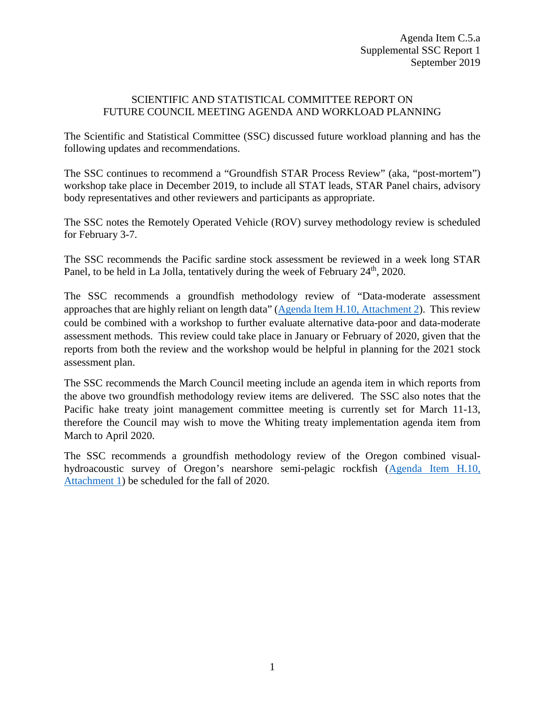## SCIENTIFIC AND STATISTICAL COMMITTEE REPORT ON FUTURE COUNCIL MEETING AGENDA AND WORKLOAD PLANNING

The Scientific and Statistical Committee (SSC) discussed future workload planning and has the following updates and recommendations.

The SSC continues to recommend a "Groundfish STAR Process Review" (aka, "post-mortem") workshop take place in December 2019, to include all STAT leads, STAR Panel chairs, advisory body representatives and other reviewers and participants as appropriate.

The SSC notes the Remotely Operated Vehicle (ROV) survey methodology review is scheduled for February 3-7.

The SSC recommends the Pacific sardine stock assessment be reviewed in a week long STAR Panel, to be held in La Jolla, tentatively during the week of February  $24<sup>th</sup>$ , 2020.

The SSC recommends a groundfish methodology review of "Data-moderate assessment approaches that are highly reliant on length data" [\(Agenda Item H.10, Attachment 2\)](https://www.pcouncil.org/wp-content/uploads/2019/08/H10_Att2_Proposal-for-Review-of-a-New-Assessment-Methodology_SEPT2019BB.pdf). This review could be combined with a workshop to further evaluate alternative data-poor and data-moderate assessment methods. This review could take place in January or February of 2020, given that the reports from both the review and the workshop would be helpful in planning for the 2021 stock assessment plan.

The SSC recommends the March Council meeting include an agenda item in which reports from the above two groundfish methodology review items are delivered. The SSC also notes that the Pacific hake treaty joint management committee meeting is currently set for March 11-13, therefore the Council may wish to move the Whiting treaty implementation agenda item from March to April 2020.

The SSC recommends a groundfish methodology review of the Oregon combined visualhydroacoustic survey of Oregon's nearshore semi-pelagic rockfish [\(Agenda Item H.10,](https://www.pcouncil.org/wp-content/uploads/2019/08/H10_Att1_GFMethodologyReview_ODFW.pdf)  [Attachment 1\)](https://www.pcouncil.org/wp-content/uploads/2019/08/H10_Att1_GFMethodologyReview_ODFW.pdf) be scheduled for the fall of 2020.